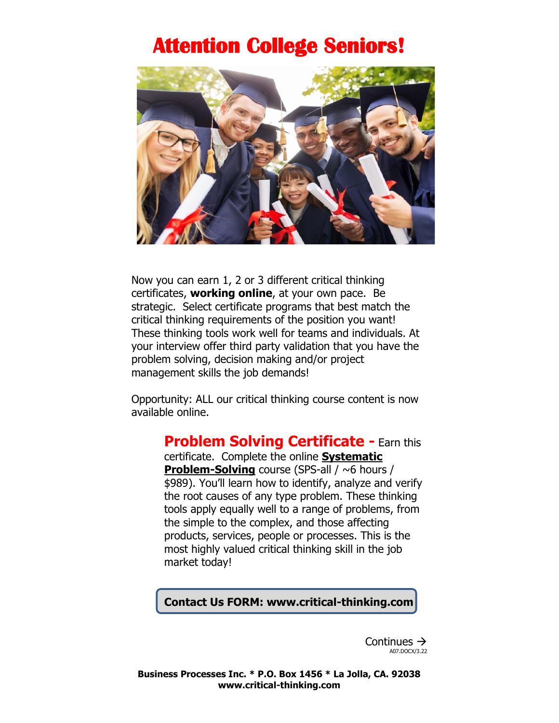## **Attention College Seniors!**



Now you can earn 1, 2 or 3 different critical thinking certificates, **working online**, at your own pace. Be strategic. Select certificate programs that best match the critical thinking requirements of the position you want! These thinking tools work well for teams and individuals. At your interview offer third party validation that you have the problem solving, decision making and/or project management skills the job demands!

Opportunity: ALL our critical thinking course content is now available online.

**Problem Solving Certificate -** Earn this

certificate. Complete the online **Systematic Problem-Solving** course (SPS-all / ~6 hours / \$989). You'll learn how to identify, analyze and verify the root causes of any type problem. These thinking tools apply equally well to a range of problems, from the simple to the complex, and those affecting products, services, people or processes. This is the most highly valued critical thinking skill in the job market today!

### **Contact Us FORM: www.critical-thinking.com**

Continues → A07.DOCX/3.22

**Business Processes Inc. \* P.O. Box 1456 \* La Jolla, CA. 92038 www.critical-thinking.com**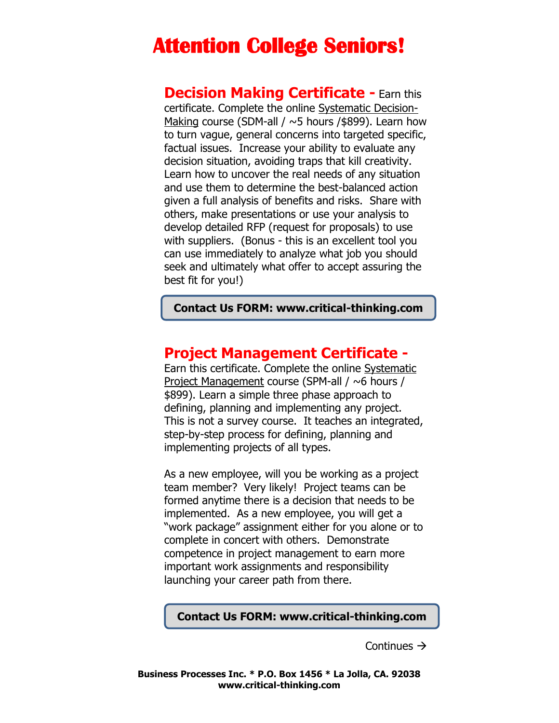## **Attention College Seniors!**

**Decision Making Certificate -** Earn this certificate. Complete the online Systematic Decision-Making course (SDM-all /  $\sim$ 5 hours /\$899). Learn how to turn vague, general concerns into targeted specific, factual issues. Increase your ability to evaluate any decision situation, avoiding traps that kill creativity. Learn how to uncover the real needs of any situation and use them to determine the best-balanced action given a full analysis of benefits and risks. Share with others, make presentations or use your analysis to develop detailed RFP (request for proposals) to use with suppliers. (Bonus - this is an excellent tool you can use immediately to analyze what job you should seek and ultimately what offer to accept assuring the best fit for you!)

**Contact Us FORM: www.critical-thinking.com**

## **Project Management Certificate -**

Earn this certificate. Complete the online Systematic Project Management course (SPM-all / ~6 hours / \$899). Learn a simple three phase approach to defining, planning and implementing any project. This is not a survey course. It teaches an integrated, step-by-step process for defining, planning and implementing projects of all types.

As a new employee, will you be working as a project team member? Very likely! Project teams can be formed anytime there is a decision that needs to be implemented. As a new employee, you will get a "work package" assignment either for you alone or to complete in concert with others. Demonstrate competence in project management to earn more important work assignments and responsibility launching your career path from there.

#### **Contact Us FORM: www.critical-thinking.com**

Continues →

**Business Processes Inc. \* P.O. Box 1456 \* La Jolla, CA. 92038 www.critical-thinking.com**